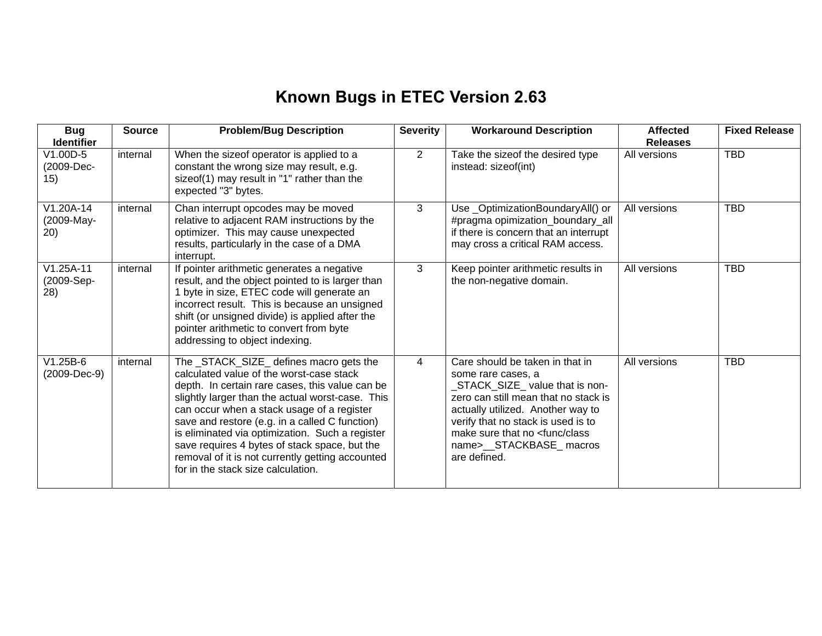## **Known Bugs in ETEC Version 2.63**

| <b>Bug</b><br><b>Identifier</b>  | <b>Source</b> | <b>Problem/Bug Description</b>                                                                                                                                                                                                                                                                                                                                                                                                                                                           | <b>Severity</b> | <b>Workaround Description</b>                                                                                                                                                                                                                                                                        | <b>Affected</b><br><b>Releases</b> | <b>Fixed Release</b> |
|----------------------------------|---------------|------------------------------------------------------------------------------------------------------------------------------------------------------------------------------------------------------------------------------------------------------------------------------------------------------------------------------------------------------------------------------------------------------------------------------------------------------------------------------------------|-----------------|------------------------------------------------------------------------------------------------------------------------------------------------------------------------------------------------------------------------------------------------------------------------------------------------------|------------------------------------|----------------------|
| V1.00D-5<br>(2009-Dec-<br>15)    | internal      | When the sizeof operator is applied to a<br>constant the wrong size may result, e.g.<br>sizeof(1) may result in "1" rather than the<br>expected "3" bytes.                                                                                                                                                                                                                                                                                                                               | $\overline{2}$  | Take the sizeof the desired type<br>instead: sizeof(int)                                                                                                                                                                                                                                             | All versions                       | <b>TBD</b>           |
| V1.20A-14<br>(2009-May-<br>20)   | internal      | Chan interrupt opcodes may be moved<br>relative to adjacent RAM instructions by the<br>optimizer. This may cause unexpected<br>results, particularly in the case of a DMA<br>interrupt.                                                                                                                                                                                                                                                                                                  | 3               | Use_OptimizationBoundaryAll() or<br>#pragma opimization_boundary_all<br>if there is concern that an interrupt<br>may cross a critical RAM access.                                                                                                                                                    | All versions                       | <b>TBD</b>           |
| $V1.25A-11$<br>(2009-Sep-<br>28) | internal      | If pointer arithmetic generates a negative<br>result, and the object pointed to is larger than<br>1 byte in size, ETEC code will generate an<br>incorrect result. This is because an unsigned<br>shift (or unsigned divide) is applied after the<br>pointer arithmetic to convert from byte<br>addressing to object indexing.                                                                                                                                                            | 3               | Keep pointer arithmetic results in<br>the non-negative domain.                                                                                                                                                                                                                                       | All versions                       | <b>TBD</b>           |
| $V1.25B-6$<br>(2009-Dec-9)       | internal      | The _STACK_SIZE_ defines macro gets the<br>calculated value of the worst-case stack<br>depth. In certain rare cases, this value can be<br>slightly larger than the actual worst-case. This<br>can occur when a stack usage of a register<br>save and restore (e.g. in a called C function)<br>is eliminated via optimization. Such a register<br>save requires 4 bytes of stack space, but the<br>removal of it is not currently getting accounted<br>for in the stack size calculation. | $\overline{4}$  | Care should be taken in that in<br>some rare cases, a<br>STACK_SIZE_ value that is non-<br>zero can still mean that no stack is<br>actually utilized. Another way to<br>verify that no stack is used is to<br>make sure that no <func class<br="">name&gt;__STACKBASE_macros<br/>are defined.</func> | All versions                       | <b>TBD</b>           |